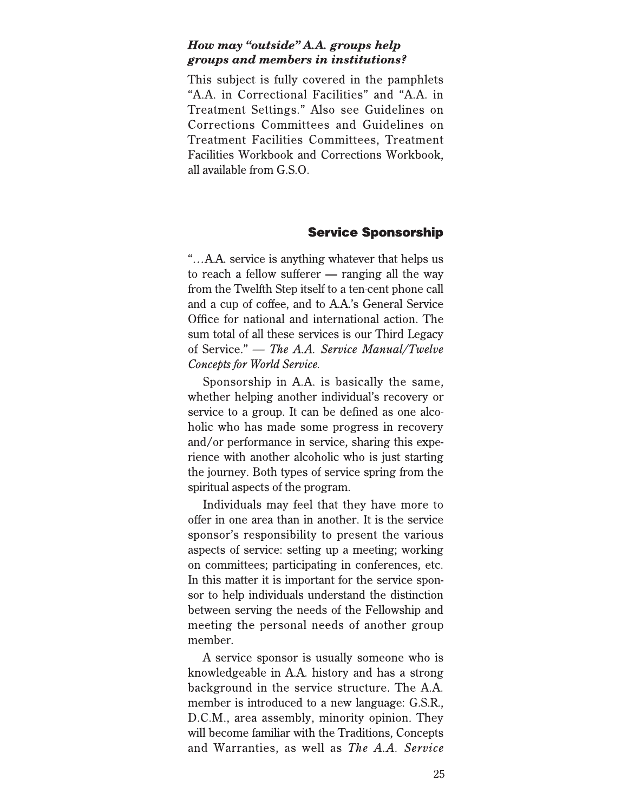## How may "outside" A.A. groups help groups and members in institutions?

This subject is fully covered in the pamphlets "A.A. in Correctional Facilities" and "A.A. in Treatment Settings." Also see Guidelines on Corrections Committees and Guidelines on **Treatment Facilities Committees, Treatment** Facilities Workbook and Corrections Workbook, all available from G.S.O.

## **Service Sponsorship**

"...A.A. service is anything whatever that helps us to reach a fellow sufferer  $-$  ranging all the way from the Twelfth Step itself to a ten-cent phone call and a cup of coffee, and to A.A.'s General Service Office for national and international action. The sum total of all these services is our Third Legacy of Service." — The A.A. Service Manual/Twelve Concepts for World Service.

Sponsorship in A.A. is basically the same, whether helping another individual's recovery or service to a group. It can be defined as one alcoholic who has made some progress in recovery and/or performance in service, sharing this experience with another alcoholic who is just starting the journey. Both types of service spring from the spiritual aspects of the program.

Individuals may feel that they have more to offer in one area than in another. It is the service sponsor's responsibility to present the various aspects of service: setting up a meeting; working on committees; participating in conferences, etc. In this matter it is important for the service sponsor to help individuals understand the distinction between serving the needs of the Fellowship and meeting the personal needs of another group member.

A service sponsor is usually someone who is knowledgeable in A.A. history and has a strong background in the service structure. The A.A. member is introduced to a new language: G.S.R., D.C.M., area assembly, minority opinion. They will become familiar with the Traditions, Concepts and Warranties, as well as *The A.A. Service*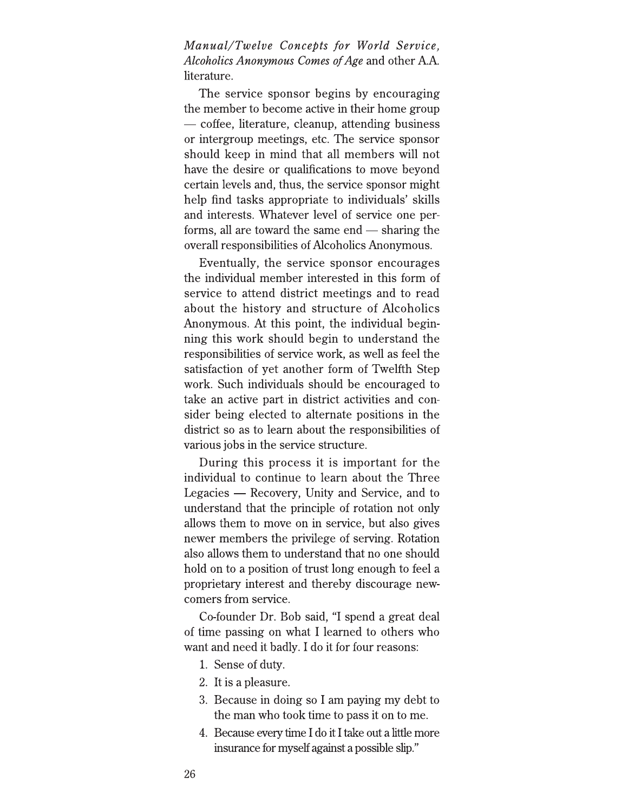Manual/Twelve Concepts for World Service, *Alcoholics Anonymous Comes of Age and other A.A.* literature.

The service sponsor begins by encouraging the member to become active in their home group — coffee, literature, cleanup, attending business or intergroup meetings, etc. The service sponsor should keep in mind that all members will not have the desire or qualifications to move beyond certain levels and, thus, the service sponsor might help find tasks appropriate to individuals' skills and interests. Whatever level of service one performs, all are toward the same end — sharing the overall responsibilities of Alcoholics Anonymous.

Eventually, the service sponsor encourages the individual member interested in this form of service to attend district meetings and to read about the history and structure of Alcoholics Anonymous. At this point, the individual beginning this work should begin to understand the responsibilities of service work, as well as feel the satisfaction of yet another form of Twelfth Step work. Such individuals should be encouraged to take an active part in district activities and consider being elected to alternate positions in the district so as to learn about the responsibilities of various jobs in the service structure.

During this process it is important for the individual to continue to learn about the Three Legacies — Recovery, Unity and Service, and to understand that the principle of rotation not only allows them to move on in service, but also gives newer members the privilege of serving. Rotation also allows them to understand that no one should hold on to a position of trust long enough to feel a proprietary interest and thereby discourage newcomers from service.

Co-founder Dr. Bob said, "I spend a great deal of time passing on what I learned to others who want and need it badly. I do it for four reasons:

- 1. Sense of duty.
- 2. It is a pleasure.
- 3. Because in doing so I am paying my debt to the man who took time to pass it on to me.
- 4. Because every time I do it I take out a little more insurance for myself against a possible slip."